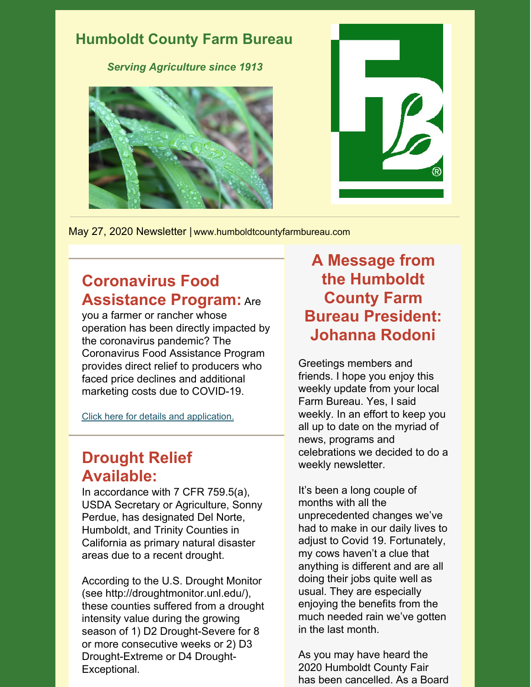

May 27, 2020 Newsletter | www.humboldtcountyfarmbureau.com

## **Coronavirus Food Assistance Program:** Are

you a farmer or rancher whose operation has been directly impacted by the coronavirus pandemic? The Coronavirus Food Assistance Program provides direct relief to producers who faced price declines and additional marketing costs due to COVID-19.

Click here for details and [application.](https://www.farmers.gov/cfap)

## **Drought Relief Available:**

In accordance with 7 CFR 759.5(a), USDA Secretary or Agriculture, Sonny Perdue, has designated Del Norte, Humboldt, and Trinity Counties in California as primary natural disaster areas due to a recent drought.

According to the U.S. Drought Monitor (see http://droughtmonitor.unl.edu/), these counties suffered from a drought intensity value during the growing season of 1) D2 Drought-Severe for 8 or more consecutive weeks or 2) D3 Drought-Extreme or D4 Drought-Exceptional.

## **A Message from the Humboldt County Farm Bureau President: Johanna Rodoni**

Greetings members and friends. I hope you enjoy this weekly update from your local Farm Bureau. Yes, I said weekly. In an effort to keep you all up to date on the myriad of news, programs and celebrations we decided to do a weekly newsletter.

It's been a long couple of months with all the unprecedented changes we've had to make in our daily lives to adjust to Covid 19. Fortunately, my cows haven't a clue that anything is different and are all doing their jobs quite well as usual. They are especially enjoying the benefits from the much needed rain we've gotten in the last month.

As you may have heard the 2020 Humboldt County Fair has been cancelled. As a Board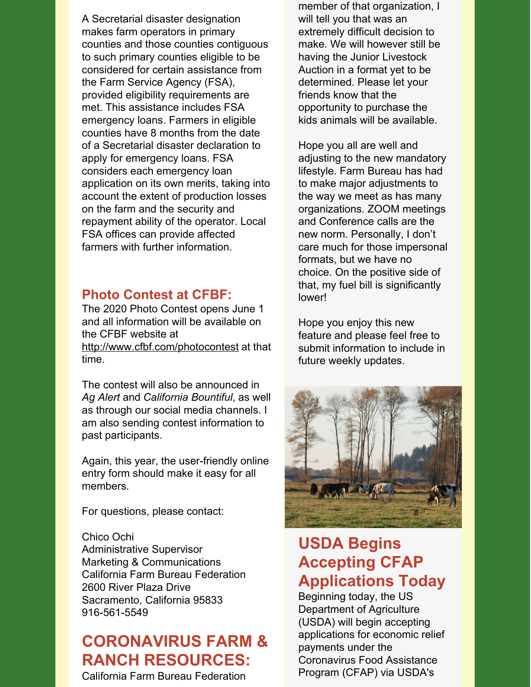A Secretarial disaster designation makes farm operators in primary counties and those counties contiguous to such primary counties eligible to be considered for certain assistance from the Farm Service Agency (FSA), provided eligibility requirements are met. This assistance includes FSA emergency loans. Farmers in eligible counties have 8 months from the date of a Secretarial disaster declaration to apply for emergency loans. FSA considers each emergency loan application on its own merits, taking into account the extent of production losses on the farm and the security and repayment ability of the operator. Local FSA offices can provide affected farmers with further information.

### **Photo Contest at CFBF:**

The 2020 Photo Contest opens June 1 and all information will be available on the CFBF website at <http://www.cfbf.com/photocontest> at that time.

The contest will also be announced in *Ag Alert* and *California Bountiful*, as well as through our social media channels. I am also sending contest information to past participants.

Again, this year, the user-friendly online entry form should make it easy for all members.

For questions, please contact:

Chico Ochi Administrative Supervisor Marketing & Communications California Farm Bureau Federation 2600 River Plaza Drive Sacramento, California 95833 916-561-5549

# **CORONAVIRUS FARM & RANCH RESOURCES:**

California Farm Bureau Federation

member of that organization, I will tell you that was an extremely difficult decision to make. We will however still be having the Junior Livestock Auction in a format yet to be determined. Please let your friends know that the opportunity to purchase the kids animals will be available.

Hope you all are well and adjusting to the new mandatory lifestyle. Farm Bureau has had to make major adjustments to the way we meet as has many organizations. ZOOM meetings and Conference calls are the new norm. Personally, I don't care much for those impersonal formats, but we have no choice. On the positive side of that, my fuel bill is significantly lower!

Hope you enjoy this new feature and please feel free to submit information to include in future weekly updates.



## **USDA Begins Accepting CFAP Applications Today**

Beginning today, the US Department of Agriculture (USDA) will begin accepting applications for economic relief payments under the Coronavirus Food Assistance Program (CFAP) via USDA's